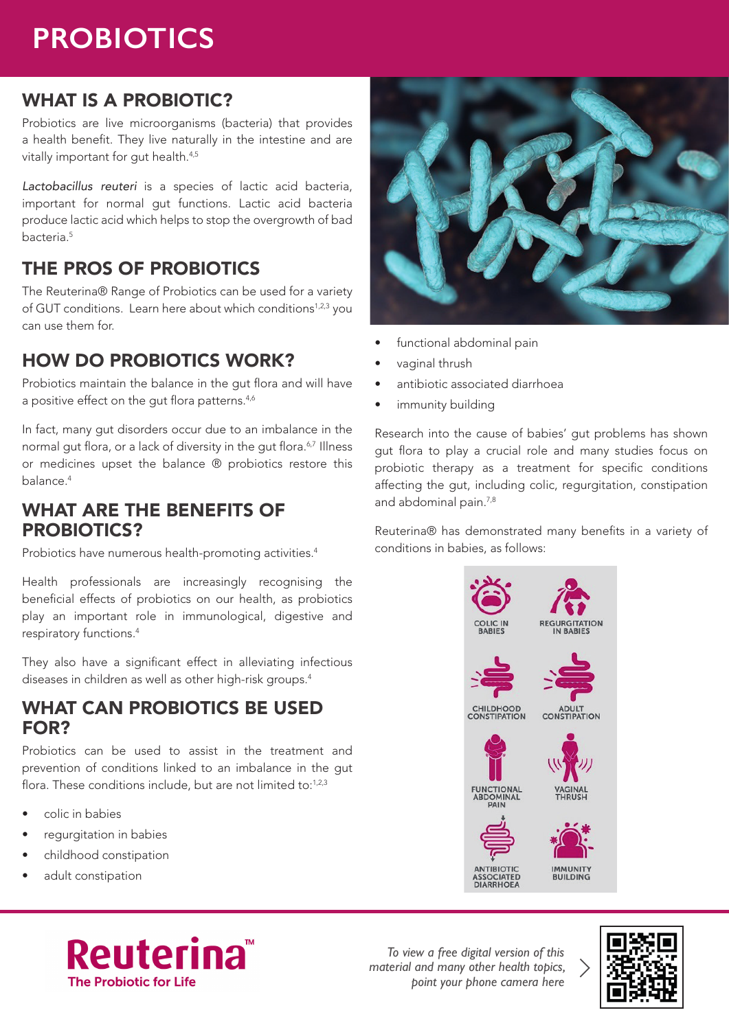# **PROBIOTICS**

## WHAT IS A PROBIOTIC?

Probiotics are live microorganisms (bacteria) that provides a health benefit. They live naturally in the intestine and are vitally important for gut health.<sup>4,5</sup>

*Lactobacillus reuteri* is a species of lactic acid bacteria, important for normal gut functions. Lactic acid bacteria produce lactic acid which helps to stop the overgrowth of bad bacteria.<sup>5</sup>

# THE PROS OF PROBIOTICS

The Reuterina® Range of Probiotics can be used for a variety of GUT conditions. Learn here about which conditions<sup>1,2,3</sup> you can use them for.

## HOW DO PROBIOTICS WORK?

Probiotics maintain the balance in the gut flora and will have a positive effect on the gut flora patterns.<sup>4,6</sup>

In fact, many gut disorders occur due to an imbalance in the normal gut flora, or a lack of diversity in the gut flora.<sup>6,7</sup> Illness or medicines upset the balance ® probiotics restore this balance.<sup>4</sup>

### WHAT ARE THE BENEFITS OF PROBIOTICS?

Probiotics have numerous health-promoting activities.<sup>4</sup>

Health professionals are increasingly recognising the beneficial effects of probiotics on our health, as probiotics play an important role in immunological, digestive and respiratory functions.<sup>4</sup>

They also have a significant effect in alleviating infectious diseases in children as well as other high-risk groups.<sup>4</sup>

#### WHAT CAN PROBIOTICS BE USED FOR?

Probiotics can be used to assist in the treatment and prevention of conditions linked to an imbalance in the gut flora. These conditions include, but are not limited to: $1,2,3$ 

- colic in babies
- requrgitation in babies
- childhood constipation
- adult constipation



*To view a free digital version of this material and many other health topics, point your phone camera here*





- functional abdominal pain
- vaginal thrush
- antibiotic associated diarrhoea
- immunity building

Research into the cause of babies' gut problems has shown gut flora to play a crucial role and many studies focus on probiotic therapy as a treatment for specific conditions affecting the gut, including colic, regurgitation, constipation and abdominal pain.<sup>7,8</sup>

Reuterina® has demonstrated many benefits in a variety of conditions in babies, as follows: